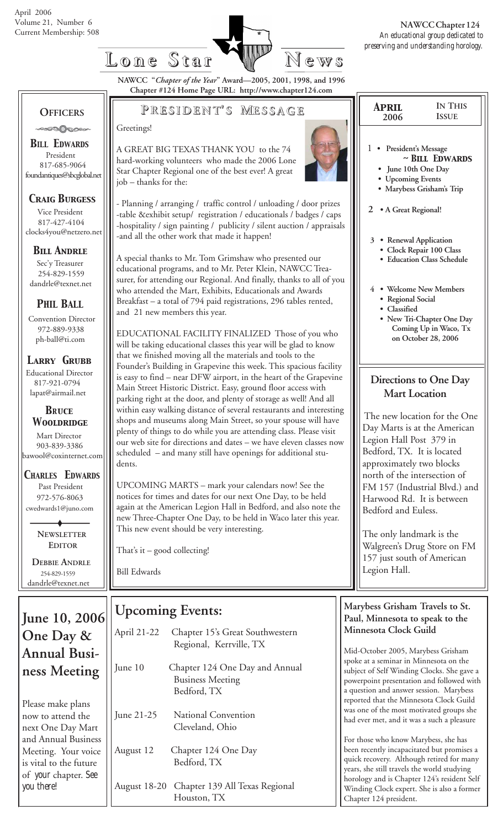

**NAWCC "***Chapter of the Year***" Award—2005, 2001, 1998, and 1996 Chapter #124 Home Page URL: http://www.chapter124.com**

# **OFFICERS**

*BILL EDWARDS* President 817-685-9064 foundantiques@sbcglobal.net

### *Craig Burgess*

 Vice President 817-427-4104 clocks4you@netzero.net

### *Bill Andrle*

 Sec'y Treasurer 254-829-1559 dandrle@texnet.net

## *PHIL BALL*

 Convention Director 972-889-9338 ph-ball@ti.com

#### *Larry Grubb*

Educational Director 817-921-0794 lapat@airmail.net

#### *BRuce Wooldridge*

 Mart Director 903-839-3386 bawool@coxinternet.com

### *CHARLES EDWARDS* Past President

 972-576-8063 cwedwards1@juno.com

> **NEWSLETTER EDITOR**

 **DEBBIE ANDRLE** 254-829-1559 dandrle@texnet.net

# **June 10, 2006 One Day & Annual Business Meeting**

Please make plans now to attend the next One Day Mart and Annual Business Meeting. Your voice is vital to the future of *your* chapter. *See you there!*

# **P RESIDENT RESIDENT' S M ESSAGE**

#### Greetings!

A GREAT BIG TEXAS THANK YOU to the 74 hard-working volunteers who made the 2006 Lone Star Chapter Regional one of the best ever! A great job – thanks for the:

- Planning / arranging / traffic control / unloading / door prizes -table &exhibit setup/ registration / educationals / badges / caps -hospitality / sign painting / publicity / silent auction / appraisals -and all the other work that made it happen!

A special thanks to Mr. Tom Grimshaw who presented our educational programs, and to Mr. Peter Klein, NAWCC Treasurer, for attending our Regional. And finally, thanks to all of you who attended the Mart, Exhibits, Educationals and Awards Breakfast – a total of 794 paid registrations, 296 tables rented, and 21 new members this year.

EDUCATIONAL FACILITY FINALIZED Those of you who will be taking educational classes this year will be glad to know that we finished moving all the materials and tools to the Founder's Building in Grapevine this week. This spacious facility is easy to find – near DFW airport, in the heart of the Grapevine Main Street Historic District. Easy, ground floor access with parking right at the door, and plenty of storage as well! And all within easy walking distance of several restaurants and interesting shops and museums along Main Street, so your spouse will have plenty of things to do while you are attending class. Please visit our web site for directions and dates – we have eleven classes now scheduled – and many still have openings for additional students.

UPCOMING MARTS – mark your calendars now! See the notices for times and dates for our next One Day, to be held again at the American Legion Hall in Bedford, and also note the new Three-Chapter One Day, to be held in Waco later this year. This new event should be very interesting.

That's it – good collecting!

Bill Edwards

# **Upcoming Events:**

| April 21-22 | Chapter 15's Great Southwestern<br>Regional, Kerrville, TX               |
|-------------|--------------------------------------------------------------------------|
| June 10     | Chapter 124 One Day and Annual<br><b>Business Meeting</b><br>Bedford, TX |
| June 21-25  | National Convention<br>Cleveland, Ohio                                   |
| August 12   | Chapter 124 One Day<br>Bedford, TX                                       |

### August 18-20 Chapter 139 All Texas Regional Houston, TX

| <b>IN THIS</b><br>APRIL<br><b>ISSUE</b><br>2006                                                                                                                      |  |
|----------------------------------------------------------------------------------------------------------------------------------------------------------------------|--|
| $\mathbf{1}$<br>• President's Message<br>$\sim$ BILL EDWARDS<br>June 10th One Day<br><b>Upcoming Events</b><br>· Marybess Grisham's Trip<br>2<br>• A Great Regional! |  |
| 3 • Renewal Application<br>Clock Repair 100 Class<br><b>Education Class Schedule</b>                                                                                 |  |
| 4 • Welcome New Members<br>· Regional Social<br>· Classified<br>• New Tri-Chapter One Day<br>Coming Up in Waco, Tx<br>on October 28, 2006                            |  |
| Directions to One Day<br><b>Mart Location</b>                                                                                                                        |  |

The new location for the One Day Marts is at the American Legion Hall Post 379 in Bedford, TX. It is located approximately two blocks north of the intersection of FM 157 (Industrial Blvd.) and Harwood Rd. It is between Bedford and Euless.

The only landmark is the Walgreen's Drug Store on FM 157 just south of American Legion Hall.

### **Marybess Grisham Travels to St. Paul, Minnesota to speak to the Minnesota Clock Guild**

Mid-October 2005, Marybess Grisham spoke at a seminar in Minnesota on the subject of Self Winding Clocks. She gave a powerpoint presentation and followed with a question and answer session. Marybess reported that the Minnesota Clock Guild was one of the most motivated groups she had ever met, and it was a such a pleasure

For those who know Marybess, she has been recently incapacitated but promises a quick recovery. Although retired for many years, she still travels the world studying horology and is Chapter 124's resident Self Winding Clock expert. She is also a former Chapter 124 president.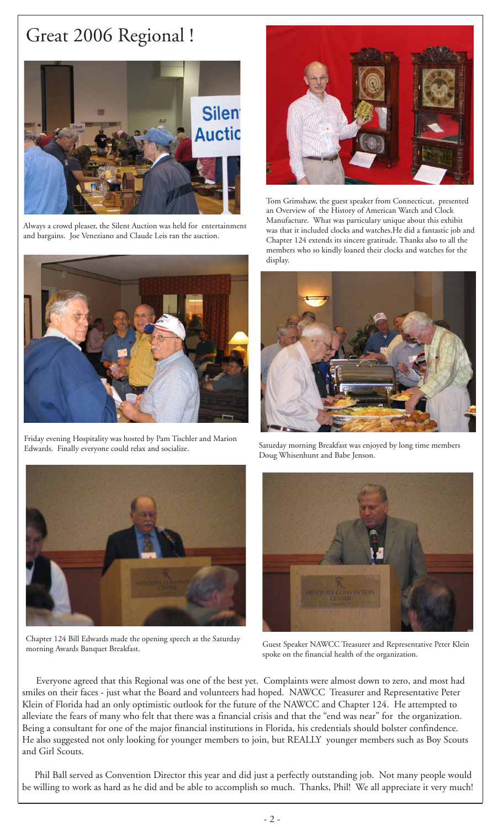# Great 2006 Regional !



Always a crowd pleaser, the Silent Auction was held for entertainment and bargains. Joe Veneziano and Claude Leis ran the auction.



Friday evening Hospitality was hosted by Pam Tischler and Marion Edwards. Finally everyone could relax and socialize. Saturday morning Breakfast was enjoyed by long time members



Tom Grimshaw, the guest speaker from Connecticut, presented an Overview of the History of American Watch and Clock Manufacture. What was particulary unique about this exhibit was that it included clocks and watches.He did a fantastic job and Chapter 124 extends its sincere gratitude. Thanks also to all the members who so kindly loaned their clocks and watches for the display.



Doug Whisenhunt and Babe Jenson.



Chapter 124 Bill Edwards made the opening speech at the Saturday Guest Speaker NAWCC Treasurer and Representative Peter Klein<br>morning Awards Banquet Breakfast.



spoke on the financial health of the organization.

 Everyone agreed that this Regional was one of the best yet. Complaints were almost down to zero, and most had smiles on their faces - just what the Board and volunteers had hoped. NAWCC Treasurer and Representative Peter Klein of Florida had an only optimistic outlook for the future of the NAWCC and Chapter 124. He attempted to alleviate the fears of many who felt that there was a financial crisis and that the "end was near" for the organization. Being a consultant for one of the major financial institutions in Florida, his credentials should bolster confindence. He also suggested not only looking for younger members to join, but REALLY younger members such as Boy Scouts and Girl Scouts.

 Phil Ball served as Convention Director this year and did just a perfectly outstanding job. Not many people would be willing to work as hard as he did and be able to accomplish so much. Thanks, Phil! We all appreciate it very much!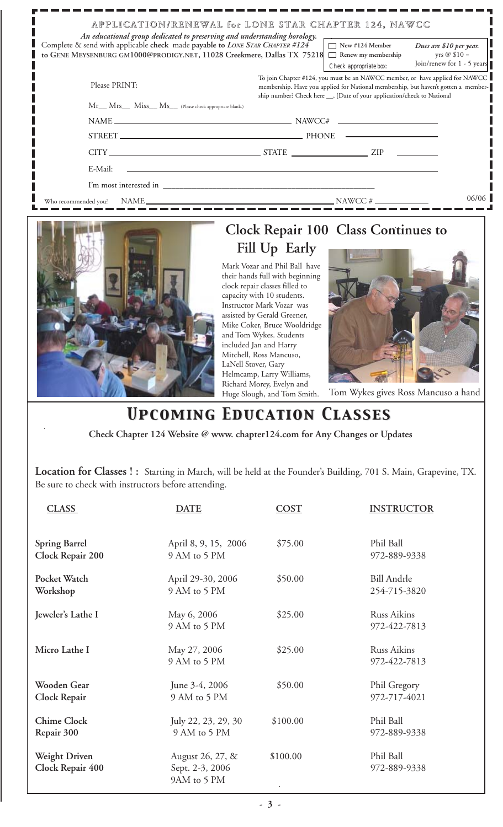| APPLICATION/RENEWAL for LONE STAR CHAPTER 124, NAWCC<br>An educational group dedicated to preserving and understanding horology.                          |  |                                                                                                                                                                                                                                                                         |                                                                               |  |  |
|-----------------------------------------------------------------------------------------------------------------------------------------------------------|--|-------------------------------------------------------------------------------------------------------------------------------------------------------------------------------------------------------------------------------------------------------------------------|-------------------------------------------------------------------------------|--|--|
| Complete & send with applicable check made payable to LONE STAR CHAPTER #124<br>to GENE MEYSENBURG GM1000@PRODIGY.NET, 11028 Creekmere, Dallas TX 75218 □ |  | $\Box$ New #124 Member<br>Renew my membership                                                                                                                                                                                                                           | Dues are \$10 per year.<br>yrs $\oslash$ \$10 =<br>Join/renew for 1 - 5 years |  |  |
| Please PRINT:                                                                                                                                             |  | Check appropriate box:<br>To join Chapter #124, you must be an NAWCC member, or have applied for NAWCC<br>membership. Have you applied for National membership, but haven't gotten a member-<br>ship number? Check here __, [Date of your application/check to National |                                                                               |  |  |
| Mr Mrs Miss Ms (Please check appropriate blank.)                                                                                                          |  |                                                                                                                                                                                                                                                                         |                                                                               |  |  |
|                                                                                                                                                           |  |                                                                                                                                                                                                                                                                         |                                                                               |  |  |
|                                                                                                                                                           |  |                                                                                                                                                                                                                                                                         |                                                                               |  |  |
|                                                                                                                                                           |  |                                                                                                                                                                                                                                                                         |                                                                               |  |  |
| E-Mail:<br>the control of the control of the control of the control of the control of                                                                     |  |                                                                                                                                                                                                                                                                         |                                                                               |  |  |
|                                                                                                                                                           |  |                                                                                                                                                                                                                                                                         |                                                                               |  |  |
|                                                                                                                                                           |  |                                                                                                                                                                                                                                                                         | 06/06                                                                         |  |  |



# **Clock Repair 100 Class Continues to Fill Up Early**

Mark Vozar and Phil Ball have their hands full with beginning clock repair classes filled to capacity with 10 students. Instructor Mark Vozar was assisted by Gerald Greener, Mike Coker, Bruce Wooldridge and Tom Wykes. Students included Jan and Harry Mitchell, Ross Mancuso, LaNell Stover, Gary Helmcamp, Larry Williams, Richard Morey, Evelyn and Huge Slough, and Tom Smith.



Tom Wykes gives Ross Mancuso a hand

# *Upcoming Education Classes Upcoming Education Classes*

 **Check Chapter 124 Website @ www. chapter124.com for Any Changes or Updates**

**Location for Classes ! :** Starting in March, will be held at the Founder's Building, 701 S. Main, Grapevine, TX. Be sure to check with instructors before attending.

| <b>CLASS</b>                             | <b>DATE</b>                                        | <b>COST</b> | <b>INSTRUCTOR</b>                  |
|------------------------------------------|----------------------------------------------------|-------------|------------------------------------|
| <b>Spring Barrel</b><br>Clock Repair 200 | April 8, 9, 15, 2006<br>9 AM to 5 PM               | \$75.00     | Phil Ball<br>972-889-9338          |
| Pocket Watch<br>Workshop                 | April 29-30, 2006<br>9 AM to 5 PM                  | \$50.00     | <b>Bill Andrle</b><br>254-715-3820 |
| Jeweler's Lathe I                        | May 6, 2006<br>9 AM to 5 PM                        | \$25.00     | <b>Russ Aikins</b><br>972-422-7813 |
| Micro Lathe I                            | May 27, 2006<br>9 AM to 5 PM                       | \$25.00     | <b>Russ Aikins</b><br>972-422-7813 |
| Wooden Gear<br>Clock Repair              | June 3-4, 2006<br>9 AM to 5 PM                     | \$50.00     | Phil Gregory<br>972-717-4021       |
| <b>Chime Clock</b><br>Repair 300         | July 22, 23, 29, 30<br>9 AM to 5 PM                | \$100.00    | Phil Ball<br>972-889-9338          |
| <b>Weight Driven</b><br>Clock Repair 400 | August 26, 27, &<br>Sept. 2-3, 2006<br>9AM to 5 PM | \$100.00    | Phil Ball<br>972-889-9338          |